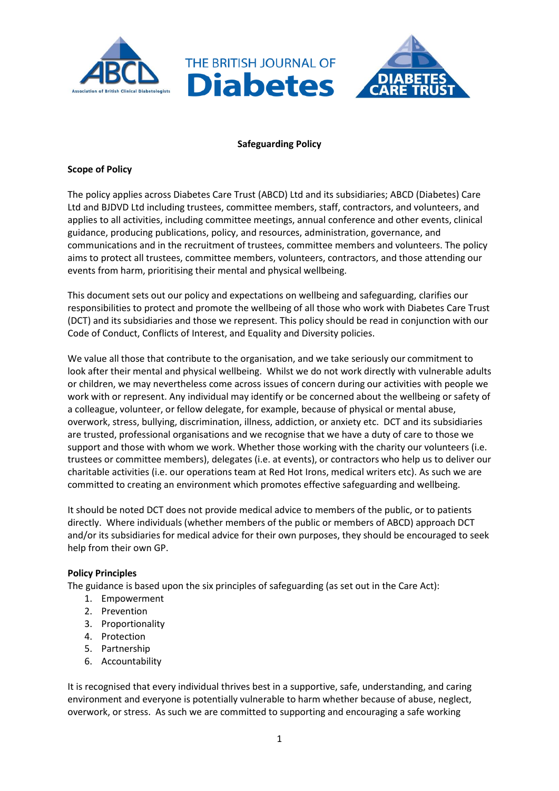

# **Safeguarding Policy**

# **Scope of Policy**

The policy applies across Diabetes Care Trust (ABCD) Ltd and its subsidiaries; ABCD (Diabetes) Care Ltd and BJDVD Ltd including trustees, committee members, staff, contractors, and volunteers, and applies to all activities, including committee meetings, annual conference and other events, clinical guidance, producing publications, policy, and resources, administration, governance, and communications and in the recruitment of trustees, committee members and volunteers. The policy aims to protect all trustees, committee members, volunteers, contractors, and those attending our events from harm, prioritising their mental and physical wellbeing.

This document sets out our policy and expectations on wellbeing and safeguarding, clarifies our responsibilities to protect and promote the wellbeing of all those who work with Diabetes Care Trust (DCT) and its subsidiaries and those we represent. This policy should be read in conjunction with our Code of Conduct, Conflicts of Interest, and Equality and Diversity policies.

We value all those that contribute to the organisation, and we take seriously our commitment to look after their mental and physical wellbeing. Whilst we do not work directly with vulnerable adults or children, we may nevertheless come across issues of concern during our activities with people we work with or represent. Any individual may identify or be concerned about the wellbeing or safety of a colleague, volunteer, or fellow delegate, for example, because of physical or mental abuse, overwork, stress, bullying, discrimination, illness, addiction, or anxiety etc. DCT and its subsidiaries are trusted, professional organisations and we recognise that we have a duty of care to those we support and those with whom we work. Whether those working with the charity our volunteers (i.e. trustees or committee members), delegates (i.e. at events), or contractors who help us to deliver our charitable activities (i.e. our operations team at Red Hot Irons, medical writers etc). As such we are committed to creating an environment which promotes effective safeguarding and wellbeing.

It should be noted DCT does not provide medical advice to members of the public, or to patients directly. Where individuals (whether members of the public or members of ABCD) approach DCT and/or its subsidiaries for medical advice for their own purposes, they should be encouraged to seek help from their own GP.

# **Policy Principles**

The guidance is based upon the six principles of safeguarding (as set out in the Care Act):

- 1. Empowerment
- 2. Prevention
- 3. Proportionality
- 4. Protection
- 5. Partnership
- 6. Accountability

It is recognised that every individual thrives best in a supportive, safe, understanding, and caring environment and everyone is potentially vulnerable to harm whether because of abuse, neglect, overwork, or stress. As such we are committed to supporting and encouraging a safe working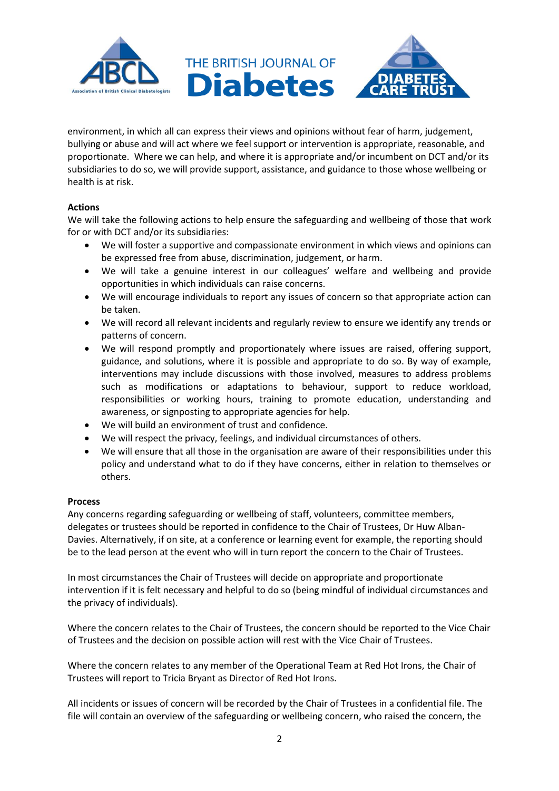

environment, in which all can express their views and opinions without fear of harm, judgement, bullying or abuse and will act where we feel support or intervention is appropriate, reasonable, and proportionate. Where we can help, and where it is appropriate and/or incumbent on DCT and/or its subsidiaries to do so, we will provide support, assistance, and guidance to those whose wellbeing or health is at risk.

# **Actions**

We will take the following actions to help ensure the safeguarding and wellbeing of those that work for or with DCT and/or its subsidiaries:

- We will foster a supportive and compassionate environment in which views and opinions can be expressed free from abuse, discrimination, judgement, or harm.
- We will take a genuine interest in our colleagues' welfare and wellbeing and provide opportunities in which individuals can raise concerns.
- We will encourage individuals to report any issues of concern so that appropriate action can be taken.
- We will record all relevant incidents and regularly review to ensure we identify any trends or patterns of concern.
- We will respond promptly and proportionately where issues are raised, offering support, guidance, and solutions, where it is possible and appropriate to do so. By way of example, interventions may include discussions with those involved, measures to address problems such as modifications or adaptations to behaviour, support to reduce workload, responsibilities or working hours, training to promote education, understanding and awareness, or signposting to appropriate agencies for help.
- We will build an environment of trust and confidence.
- We will respect the privacy, feelings, and individual circumstances of others.
- We will ensure that all those in the organisation are aware of their responsibilities under this policy and understand what to do if they have concerns, either in relation to themselves or others.

# **Process**

Any concerns regarding safeguarding or wellbeing of staff, volunteers, committee members, delegates or trustees should be reported in confidence to the Chair of Trustees, Dr Huw Alban-Davies. Alternatively, if on site, at a conference or learning event for example, the reporting should be to the lead person at the event who will in turn report the concern to the Chair of Trustees.

In most circumstances the Chair of Trustees will decide on appropriate and proportionate intervention if it is felt necessary and helpful to do so (being mindful of individual circumstances and the privacy of individuals).

Where the concern relates to the Chair of Trustees, the concern should be reported to the Vice Chair of Trustees and the decision on possible action will rest with the Vice Chair of Trustees.

Where the concern relates to any member of the Operational Team at Red Hot Irons, the Chair of Trustees will report to Tricia Bryant as Director of Red Hot Irons.

All incidents or issues of concern will be recorded by the Chair of Trustees in a confidential file. The file will contain an overview of the safeguarding or wellbeing concern, who raised the concern, the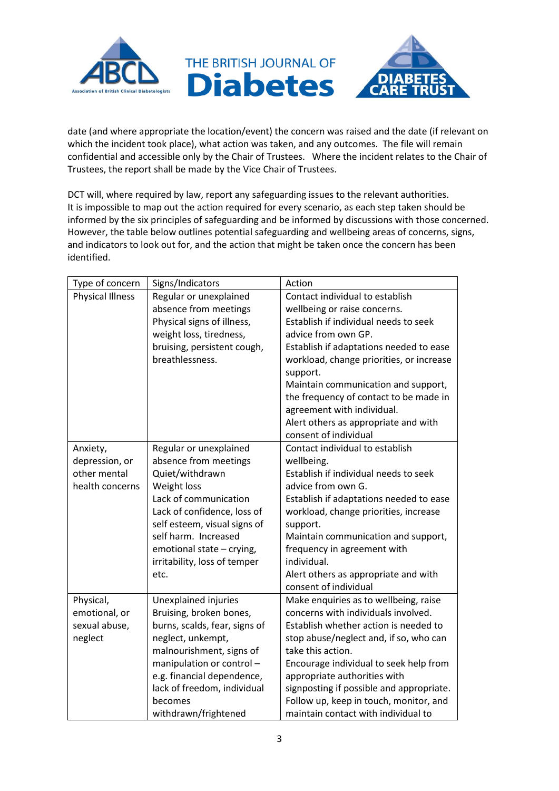

date (and where appropriate the location/event) the concern was raised and the date (if relevant on which the incident took place), what action was taken, and any outcomes. The file will remain confidential and accessible only by the Chair of Trustees. Where the incident relates to the Chair of Trustees, the report shall be made by the Vice Chair of Trustees.

DCT will, where required by law, report any safeguarding issues to the relevant authorities. It is impossible to map out the action required for every scenario, as each step taken should be informed by the six principles of safeguarding and be informed by discussions with those concerned. However, the table below outlines potential safeguarding and wellbeing areas of concerns, signs, and indicators to look out for, and the action that might be taken once the concern has been identified.

| Type of concern         | Signs/Indicators              | Action                                               |
|-------------------------|-------------------------------|------------------------------------------------------|
| <b>Physical Illness</b> | Regular or unexplained        | Contact individual to establish                      |
|                         | absence from meetings         | wellbeing or raise concerns.                         |
|                         | Physical signs of illness,    | Establish if individual needs to seek                |
|                         | weight loss, tiredness,       | advice from own GP.                                  |
|                         | bruising, persistent cough,   | Establish if adaptations needed to ease              |
|                         | breathlessness.               | workload, change priorities, or increase<br>support. |
|                         |                               | Maintain communication and support,                  |
|                         |                               | the frequency of contact to be made in               |
|                         |                               | agreement with individual.                           |
|                         |                               | Alert others as appropriate and with                 |
|                         |                               | consent of individual                                |
| Anxiety,                | Regular or unexplained        | Contact individual to establish                      |
| depression, or          | absence from meetings         | wellbeing.                                           |
| other mental            | Quiet/withdrawn               | Establish if individual needs to seek                |
| health concerns         | Weight loss                   | advice from own G.                                   |
|                         | Lack of communication         | Establish if adaptations needed to ease              |
|                         | Lack of confidence, loss of   | workload, change priorities, increase                |
|                         | self esteem, visual signs of  | support.                                             |
|                         | self harm. Increased          | Maintain communication and support,                  |
|                         | emotional state - crying,     | frequency in agreement with                          |
|                         | irritability, loss of temper  | individual.                                          |
|                         | etc.                          | Alert others as appropriate and with                 |
|                         |                               | consent of individual                                |
| Physical,               | Unexplained injuries          | Make enquiries as to wellbeing, raise                |
| emotional, or           | Bruising, broken bones,       | concerns with individuals involved.                  |
| sexual abuse,           | burns, scalds, fear, signs of | Establish whether action is needed to                |
| neglect                 | neglect, unkempt,             | stop abuse/neglect and, if so, who can               |
|                         | malnourishment, signs of      | take this action.                                    |
|                         | manipulation or control -     | Encourage individual to seek help from               |
|                         | e.g. financial dependence,    | appropriate authorities with                         |
|                         | lack of freedom, individual   | signposting if possible and appropriate.             |
|                         | becomes                       | Follow up, keep in touch, monitor, and               |
|                         | withdrawn/frightened          | maintain contact with individual to                  |